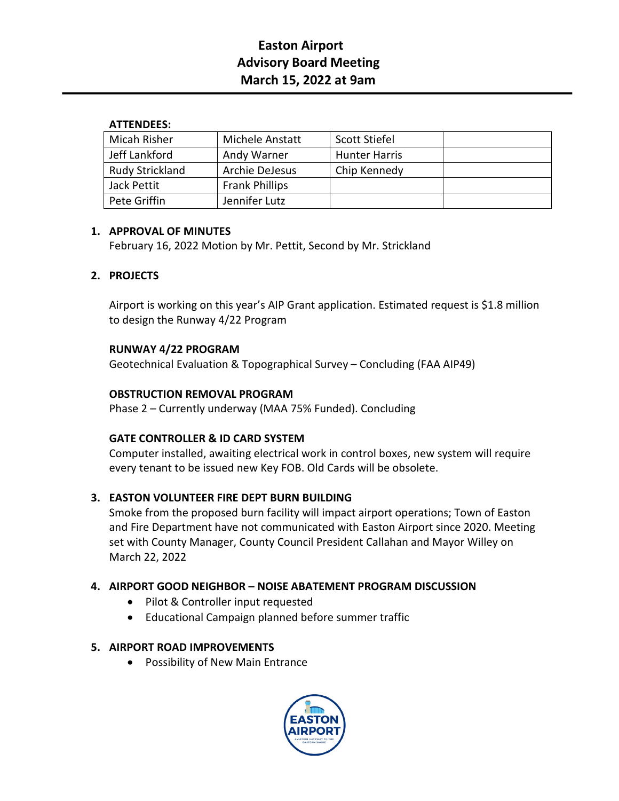# **Easton Airport Advisory Board Meeting March 15, 2022 at 9am**

#### **ATTENDEES:**

| Micah Risher           | Michele Anstatt       | Scott Stiefel        |  |
|------------------------|-----------------------|----------------------|--|
| Jeff Lankford          | Andy Warner           | <b>Hunter Harris</b> |  |
| <b>Rudy Strickland</b> | Archie DeJesus        | Chip Kennedy         |  |
| Jack Pettit            | <b>Frank Phillips</b> |                      |  |
| Pete Griffin           | Jennifer Lutz         |                      |  |

### **1. APPROVAL OF MINUTES**

February 16, 2022 Motion by Mr. Pettit, Second by Mr. Strickland

### **2. PROJECTS**

Airport is working on this year's AIP Grant application. Estimated request is \$1.8 million to design the Runway 4/22 Program

### **RUNWAY 4/22 PROGRAM**

Geotechnical Evaluation & Topographical Survey – Concluding (FAA AIP49)

### **OBSTRUCTION REMOVAL PROGRAM**

Phase 2 – Currently underway (MAA 75% Funded). Concluding

### **GATE CONTROLLER & ID CARD SYSTEM**

Computer installed, awaiting electrical work in control boxes, new system will require every tenant to be issued new Key FOB. Old Cards will be obsolete.

### **3. EASTON VOLUNTEER FIRE DEPT BURN BUILDING**

Smoke from the proposed burn facility will impact airport operations; Town of Easton and Fire Department have not communicated with Easton Airport since 2020. Meeting set with County Manager, County Council President Callahan and Mayor Willey on March 22, 2022

### **4. AIRPORT GOOD NEIGHBOR – NOISE ABATEMENT PROGRAM DISCUSSION**

- Pilot & Controller input requested
- Educational Campaign planned before summer traffic

### **5. AIRPORT ROAD IMPROVEMENTS**

• Possibility of New Main Entrance

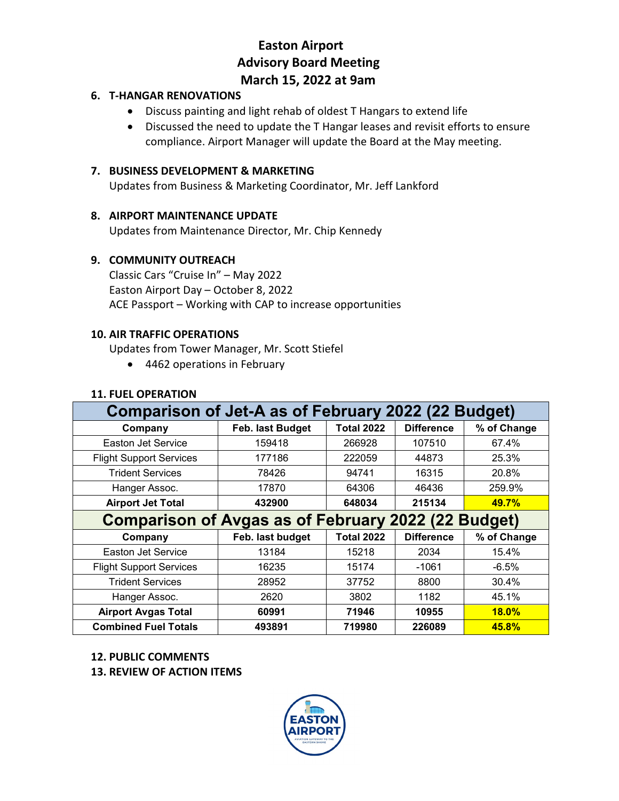## **Easton Airport Advisory Board Meeting March 15, 2022 at 9am**

#### **6. T-HANGAR RENOVATIONS**

- Discuss painting and light rehab of oldest T Hangars to extend life
- Discussed the need to update the T Hangar leases and revisit efforts to ensure compliance. Airport Manager will update the Board at the May meeting.

#### **7. BUSINESS DEVELOPMENT & MARKETING**

Updates from Business & Marketing Coordinator, Mr. Jeff Lankford

#### **8. AIRPORT MAINTENANCE UPDATE**

Updates from Maintenance Director, Mr. Chip Kennedy

#### **9. COMMUNITY OUTREACH**

Classic Cars "Cruise In" – May 2022 Easton Airport Day – October 8, 2022 ACE Passport – Working with CAP to increase opportunities

#### **10. AIR TRAFFIC OPERATIONS**

Updates from Tower Manager, Mr. Scott Stiefel

• 4462 operations in February

### **11. FUEL OPERATION**

| Comparison of Jet-A as of February 2022 (22 Budget)        |                  |                   |                   |             |  |  |
|------------------------------------------------------------|------------------|-------------------|-------------------|-------------|--|--|
| Company                                                    | Feb. last Budget | <b>Total 2022</b> | <b>Difference</b> | % of Change |  |  |
| Easton Jet Service                                         | 159418           | 266928            | 107510            | 67.4%       |  |  |
| <b>Flight Support Services</b>                             | 177186           | 222059            | 44873             | 25.3%       |  |  |
| <b>Trident Services</b>                                    | 78426            | 94741             | 16315             | 20.8%       |  |  |
| Hanger Assoc.                                              | 17870            | 64306             | 46436             | 259.9%      |  |  |
| <b>Airport Jet Total</b>                                   | 432900           | 648034            | 215134            | 49.7%       |  |  |
| <b>Comparison of Avgas as of February 2022 (22 Budget)</b> |                  |                   |                   |             |  |  |
| Company                                                    | Feb. last budget | <b>Total 2022</b> | <b>Difference</b> | % of Change |  |  |
| Easton Jet Service                                         | 13184            | 15218             | 2034              | 15.4%       |  |  |
| <b>Flight Support Services</b>                             | 16235            | 15174             | $-1061$           | $-6.5%$     |  |  |
| <b>Trident Services</b>                                    | 28952            | 37752             | 8800              | 30.4%       |  |  |
| Hanger Assoc.                                              | 2620             | 3802              | 1182              | 45.1%       |  |  |
| <b>Airport Avgas Total</b>                                 | 60991            | 71946             | 10955             | 18.0%       |  |  |
| <b>Combined Fuel Totals</b>                                | 493891           | 719980            | 226089            | 45.8%       |  |  |

#### **12. PUBLIC COMMENTS**

**13. REVIEW OF ACTION ITEMS**